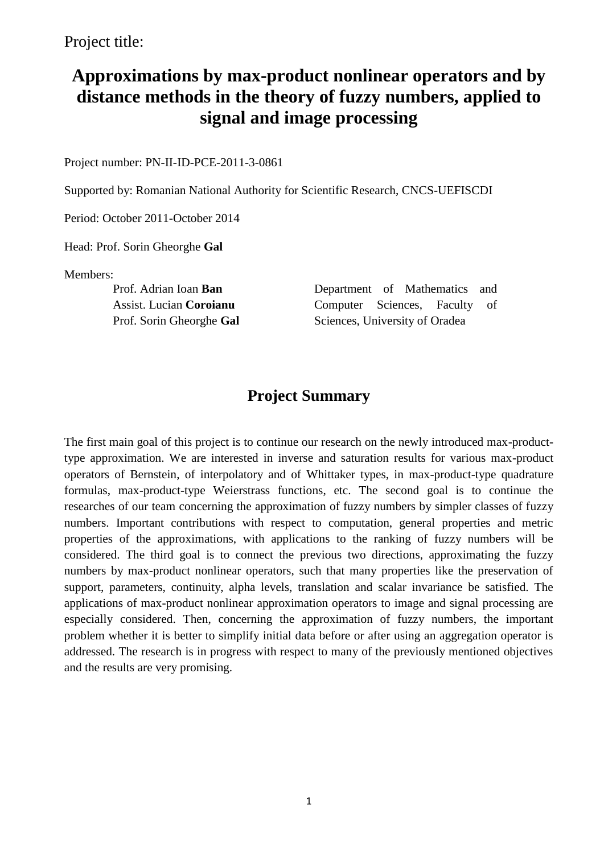Project title:

# **Approximations by max-product nonlinear operators and by distance methods in the theory of fuzzy numbers, applied to signal and image processing**

Project number: PN-II-ID-PCE-2011-3-0861

Supported by: Romanian National Authority for Scientific Research, CNCS-UEFISCDI

Period: October 2011-October 2014

Head: Prof. Sorin Gheorghe **Gal**

Members:

Prof. Adrian Ioan **Ban** Assist. Lucian **Coroianu** Prof. Sorin Gheorghe **Gal** Department of Mathematics and Computer Sciences, Faculty of Sciences, University of Oradea

## **Project Summary**

The first main goal of this project is to continue our research on the newly introduced max-producttype approximation. We are interested in inverse and saturation results for various max-product operators of Bernstein, of interpolatory and of Whittaker types, in max-product-type quadrature formulas, max-product-type Weierstrass functions, etc. The second goal is to continue the researches of our team concerning the approximation of fuzzy numbers by simpler classes of fuzzy numbers. Important contributions with respect to computation, general properties and metric properties of the approximations, with applications to the ranking of fuzzy numbers will be considered. The third goal is to connect the previous two directions, approximating the fuzzy numbers by max-product nonlinear operators, such that many properties like the preservation of support, parameters, continuity, alpha levels, translation and scalar invariance be satisfied. The applications of max-product nonlinear approximation operators to image and signal processing are especially considered. Then, concerning the approximation of fuzzy numbers, the important problem whether it is better to simplify initial data before or after using an aggregation operator is addressed. The research is in progress with respect to many of the previously mentioned objectives and the results are very promising.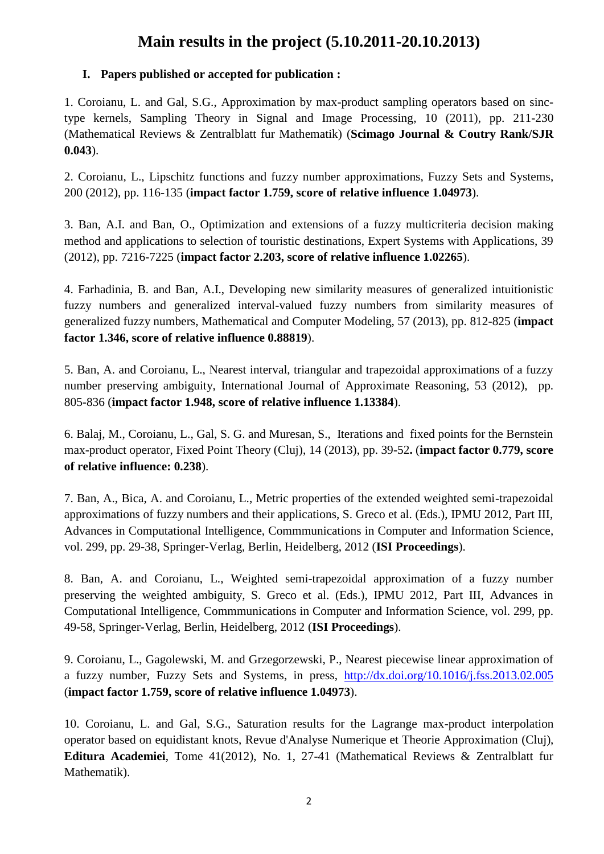# **Main results in the project (5.10.2011-20.10.2013)**

### **I. Papers published or accepted for publication :**

1. Coroianu, L. and Gal, S.G., Approximation by max-product sampling operators based on sinctype kernels, Sampling Theory in Signal and Image Processing, 10 (2011), pp. 211-230 (Mathematical Reviews & Zentralblatt fur Mathematik) (**Scimago Journal & Coutry Rank/SJR 0.043**).

2. Coroianu, L., Lipschitz functions and fuzzy number approximations, Fuzzy Sets and Systems, 200 (2012), pp. 116-135 (**impact factor 1.759, score of relative influence 1.04973**).

3. Ban, A.I. and Ban, O., Optimization and extensions of a fuzzy multicriteria decision making method and applications to selection of touristic destinations, Expert Systems with Applications, 39 (2012), pp. 7216-7225 (**impact factor 2.203, score of relative influence 1.02265**).

4. Farhadinia, B. and Ban, A.I., Developing new similarity measures of generalized intuitionistic fuzzy numbers and generalized interval-valued fuzzy numbers from similarity measures of generalized fuzzy numbers, Mathematical and Computer Modeling, 57 (2013), pp. 812-825 (**impact factor 1.346, score of relative influence 0.88819**).

5. Ban, A. and Coroianu, L., Nearest interval, triangular and trapezoidal approximations of a fuzzy number preserving ambiguity, International Journal of Approximate Reasoning, 53 (2012), pp. 805-836 (**impact factor 1.948, score of relative influence 1.13384**).

6. Balaj, M., Coroianu, L., Gal, S. G. and Muresan, S., Iterations and fixed points for the Bernstein max-product operator, Fixed Point Theory (Cluj), 14 (2013), pp. 39-52**.** (**impact factor 0.779, score of relative influence: 0.238**).

7. Ban, A., Bica, A. and Coroianu, L., Metric properties of the extended weighted semi-trapezoidal approximations of fuzzy numbers and their applications, S. Greco et al. (Eds.), IPMU 2012, Part III, Advances in Computational Intelligence, Commmunications in Computer and Information Science, vol. 299, pp. 29-38, Springer-Verlag, Berlin, Heidelberg, 2012 (**ISI Proceedings**).

8. Ban, A. and Coroianu, L., Weighted semi-trapezoidal approximation of a fuzzy number preserving the weighted ambiguity, S. Greco et al. (Eds.), IPMU 2012, Part III, Advances in Computational Intelligence, Commmunications in Computer and Information Science, vol. 299, pp. 49-58, Springer-Verlag, Berlin, Heidelberg, 2012 (**ISI Proceedings**).

9. Coroianu, L., Gagolewski, M. and Grzegorzewski, P., Nearest piecewise linear approximation of a fuzzy number, Fuzzy Sets and Systems, in press, <http://dx.doi.org/10.1016/j.fss.2013.02.005> (**impact factor 1.759, score of relative influence 1.04973**).

10. Coroianu, L. and Gal, S.G., Saturation results for the Lagrange max-product interpolation operator based on equidistant knots, Revue d'Analyse Numerique et Theorie Approximation (Cluj), **Editura Academiei**, Tome 41(2012), No. 1, 27-41 (Mathematical Reviews & Zentralblatt fur Mathematik).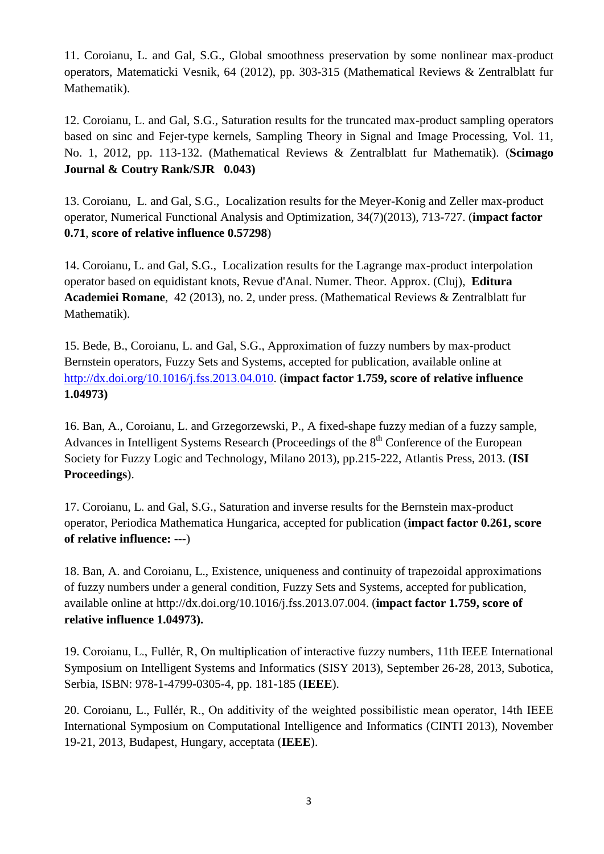11. Coroianu, L. and Gal, S.G., Global smoothness preservation by some nonlinear max‐product operators, Matematicki Vesnik, 64 (2012), pp. 303-315 (Mathematical Reviews & Zentralblatt fur Mathematik).

12. Coroianu, L. and Gal, S.G., Saturation results for the truncated max-product sampling operators based on sinc and Fejer-type kernels, Sampling Theory in Signal and Image Processing, Vol. 11, No. 1, 2012, pp. 113-132. (Mathematical Reviews & Zentralblatt fur Mathematik). (**Scimago Journal & Coutry Rank/SJR 0.043)**

13. Coroianu, L. and Gal, S.G., Localization results for the Meyer-Konig and Zeller max-product operator, Numerical Functional Analysis and Optimization, 34(7)(2013), 713-727. (**impact factor 0.71**, **score of relative influence 0.57298**)

14. Coroianu, L. and Gal, S.G., Localization results for the Lagrange max-product interpolation operator based on equidistant knots, Revue d'Anal. Numer. Theor. Approx. (Cluj), **Editura Academiei Romane**, 42 (2013), no. 2, under press. (Mathematical Reviews & Zentralblatt fur Mathematik).

15. Bede, B., Coroianu, L. and Gal, S.G., Approximation of fuzzy numbers by max-product Bernstein operators, Fuzzy Sets and Systems, accepted for publication, available online at [http://dx.doi.org/10.1016/j.fss.2013.04.010.](http://dx.doi.org/10.1016/j.fss.2013.04.010) (**impact factor 1.759, score of relative influence 1.04973)**

16. Ban, A., Coroianu, L. and Grzegorzewski, P., A fixed-shape fuzzy median of a fuzzy sample, Advances in Intelligent Systems Research (Proceedings of the 8<sup>th</sup> Conference of the European Society for Fuzzy Logic and Technology, Milano 2013), pp.215-222, Atlantis Press, 2013. (**ISI Proceedings**).

17. Coroianu, L. and Gal, S.G., Saturation and inverse results for the Bernstein max-product operator, Periodica Mathematica Hungarica, accepted for publication (**impact factor 0.261, score of relative influence: ---**)

18. Ban, A. and Coroianu, L., Existence, uniqueness and continuity of trapezoidal approximations of fuzzy numbers under a general condition, Fuzzy Sets and Systems, accepted for publication, available online at http://dx.doi.org/10.1016/j.fss.2013.07.004. (**impact factor 1.759, score of relative influence 1.04973).**

19. Coroianu, L., Fullér, R, On multiplication of interactive fuzzy numbers, 11th IEEE International Symposium on Intelligent Systems and Informatics (SISY 2013), September 26-28, 2013, Subotica, Serbia, ISBN: 978-1-4799-0305-4, pp. 181-185 (**IEEE**).

20. Coroianu, L., Fullér, R., On additivity of the weighted possibilistic mean operator, 14th IEEE International Symposium on Computational Intelligence and Informatics (CINTI 2013), November 19-21, 2013, Budapest, Hungary, acceptata (**IEEE**).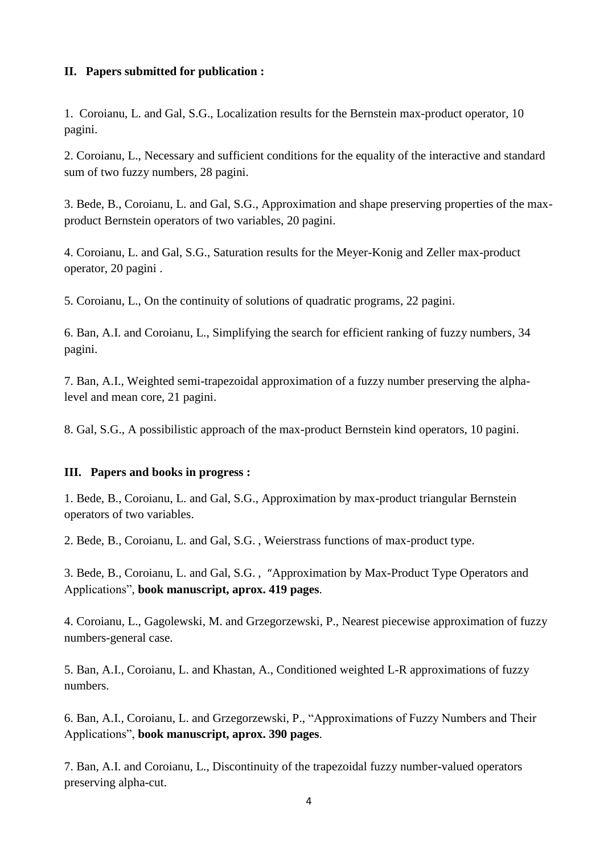### **II. Papers submitted for publication :**

1. Coroianu, L. and Gal, S.G., Localization results for the Bernstein max-product operator, 10 pagini.

2. Coroianu, L., Necessary and sufficient conditions for the equality of the interactive and standard sum of two fuzzy numbers, 28 pagini.

3. Bede, B., Coroianu, L. and Gal, S.G., Approximation and shape preserving properties of the maxproduct Bernstein operators of two variables, 20 pagini.

4. Coroianu, L. and Gal, S.G., Saturation results for the Meyer-Konig and Zeller max-product operator, 20 pagini .

5. Coroianu, L., On the continuity of solutions of quadratic programs, 22 pagini.

6. Ban, A.I. and Coroianu, L., Simplifying the search for efficient ranking of fuzzy numbers, 34 pagini.

7. Ban, A.I., Weighted semi-trapezoidal approximation of a fuzzy number preserving the alphalevel and mean core, 21 pagini.

8. Gal, S.G., A possibilistic approach of the max-product Bernstein kind operators, 10 pagini.

#### **III. Papers and books in progress :**

1. Bede, B., Coroianu, L. and Gal, S.G., Approximation by max-product triangular Bernstein operators of two variables.

2. Bede, B., Coroianu, L. and Gal, S.G. , Weierstrass functions of max-product type.

3. Bede, B., Coroianu, L. and Gal, S.G. , "Approximation by Max-Product Type Operators and Applications", **book manuscript, aprox. 419 pages**.

4. Coroianu, L., Gagolewski, M. and Grzegorzewski, P., Nearest piecewise approximation of fuzzy numbers-general case.

5. Ban, A.I., Coroianu, L. and Khastan, A., Conditioned weighted L-R approximations of fuzzy numbers.

6. Ban, A.I., Coroianu, L. and Grzegorzewski, P., "Approximations of Fuzzy Numbers and Their Applications", **book manuscript, aprox. 390 pages**.

7. Ban, A.I. and Coroianu, L., Discontinuity of the trapezoidal fuzzy number-valued operators preserving alpha-cut.